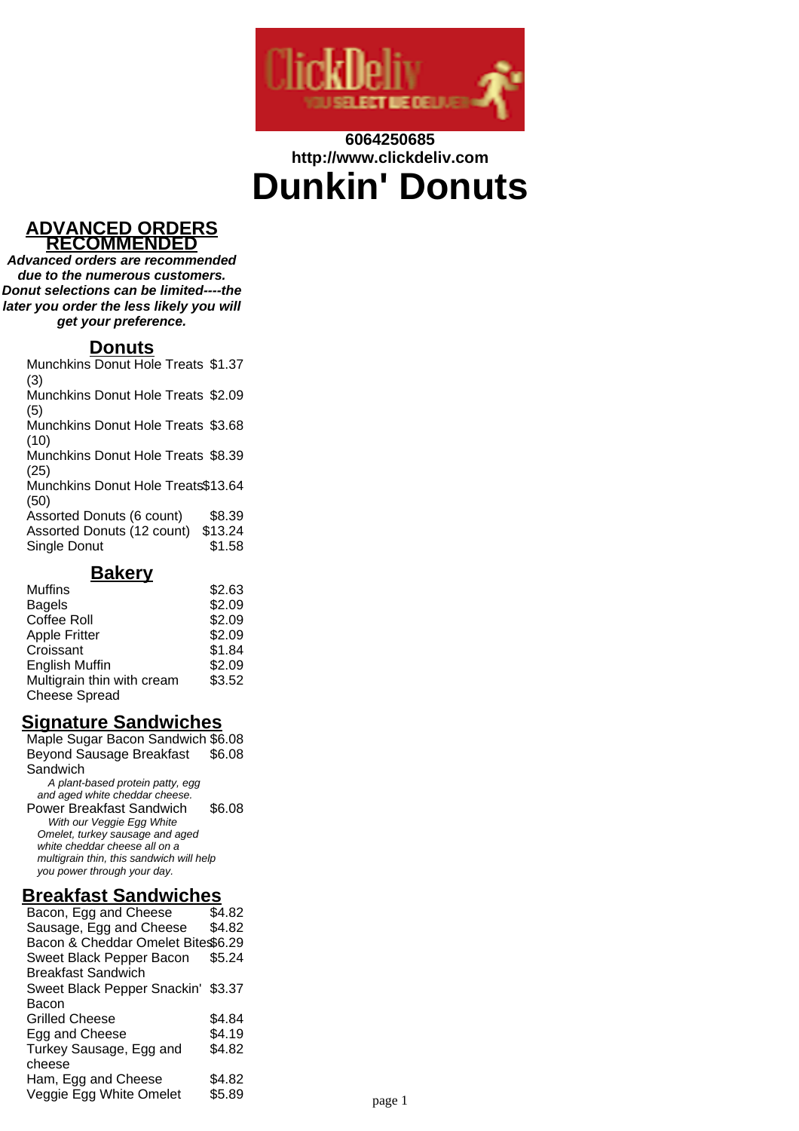

# **6064250685 http://www.clickdeliv.com Dunkin' Donuts**

#### **ADVANCED ORDERS RECOMMENDED**

**Advanced orders are recommended due to the numerous customers. Donut selections can be limited----the later you order the less likely you will get your preference.**

### **Donuts**

Munchkins Donut Hole Treats \$1.37 (3)

Munchkins Donut Hole Treats \$2.09 (5)

Munchkins Donut Hole Treats \$3.68 (10)

Munchkins Donut Hole Treats \$8.39 (25)

Munchkins Donut Hole Treats \$13.64 (50)

Assorted Donuts (6 count) \$8.39 Assorted Donuts (12 count) \$13.24 Single Donut \$1.58

#### **Bakery**

| <b>Muffins</b>             | \$2.63 |
|----------------------------|--------|
| <b>Bagels</b>              | \$2.09 |
| <b>Coffee Roll</b>         | \$2.09 |
| <b>Apple Fritter</b>       | \$2.09 |
| Croissant                  | \$1.84 |
| <b>English Muffin</b>      | \$2.09 |
| Multigrain thin with cream | \$3.52 |
| <b>Cheese Spread</b>       |        |

# **Signature Sandwiches**

Maple Sugar Bacon Sandwich \$6.08 Beyond Sausage Breakfast **Sandwich** \$6.08 A plant-based protein patty, egg and aged white cheddar cheese. Power Breakfast Sandwich \$6.08 With our Veggie Egg White Omelet, turkey sausage and aged white cheddar cheese all on a multigrain thin, this sandwich will help you power through your day.

### **Breakfast Sandwiches**

| Bacon, Egg and Cheese              | \$4.82 |        |
|------------------------------------|--------|--------|
| Sausage, Egg and Cheese            | \$4.82 |        |
| Bacon & Cheddar Omelet Bite\$6.29  |        |        |
| Sweet Black Pepper Bacon           | \$5.24 |        |
| <b>Breakfast Sandwich</b>          |        |        |
| Sweet Black Pepper Snackin' \$3.37 |        |        |
| Bacon                              |        |        |
| Grilled Cheese                     | \$4.84 |        |
| Egg and Cheese                     | \$4.19 |        |
| Turkey Sausage, Egg and            | \$4.82 |        |
| cheese                             |        |        |
| Ham, Egg and Cheese                | \$4.82 |        |
| Veggie Egg White Omelet            | \$5.89 |        |
|                                    |        | page 1 |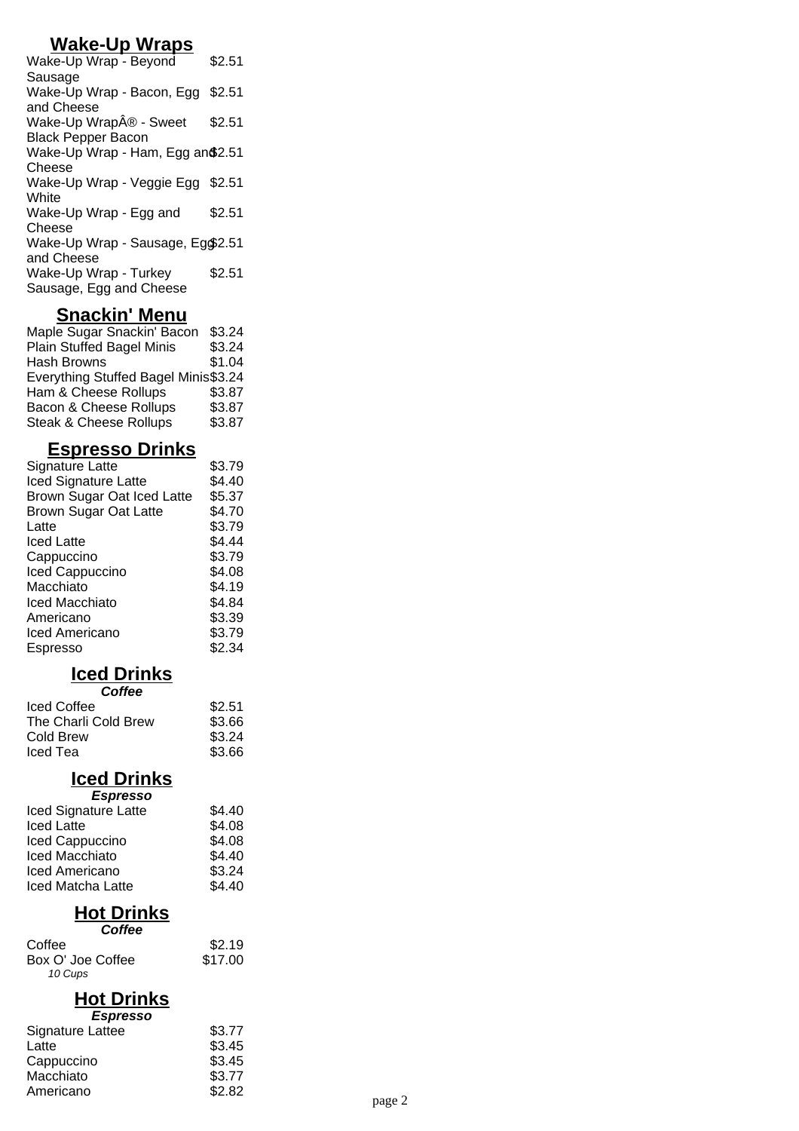# **Wake-Up Wraps**

| Wake-Up Wrap - Beyond            | \$2.51 |
|----------------------------------|--------|
| Sausage                          |        |
| Wake-Up Wrap - Bacon, Egg        | \$2.51 |
| and Cheese                       |        |
| Wake-Up Wrap® - Sweet            | \$2.51 |
| <b>Black Pepper Bacon</b>        |        |
| Wake-Up Wrap - Ham, Egg an\$2.51 |        |
| Cheese                           |        |
| Wake-Up Wrap - Veggie Egg \$2.51 |        |
| White                            |        |
| Wake-Up Wrap - Egg and           | \$2.51 |
| Cheese                           |        |
| Wake-Up Wrap - Sausage, Eg\$2.51 |        |
| and Cheese                       |        |
| Wake-Up Wrap - Turkey            | \$2.51 |
| Sausage, Egg and Cheese          |        |
|                                  |        |

# **Snackin' Menu**

| Maple Sugar Snackin' Bacon           | \$3.24 |
|--------------------------------------|--------|
| <b>Plain Stuffed Bagel Minis</b>     | \$3.24 |
| Hash Browns                          | \$1.04 |
| Everything Stuffed Bagel Minis\$3.24 |        |
| Ham & Cheese Rollups                 | \$3.87 |
| Bacon & Cheese Rollups               | \$3.87 |
| <b>Steak &amp; Cheese Rollups</b>    | \$3.87 |

# **Espresso Drinks**

| <b>Signature Latte</b>       | \$3.79 |
|------------------------------|--------|
| <b>Iced Signature Latte</b>  | \$4.40 |
| Brown Sugar Oat Iced Latte   | \$5.37 |
| <b>Brown Sugar Oat Latte</b> | \$4.70 |
| Latte                        | \$3.79 |
| <b>Iced Latte</b>            | \$4.44 |
| Cappuccino                   | \$3.79 |
| Iced Cappuccino              | \$4.08 |
| Macchiato                    | \$4.19 |
| Iced Macchiato               | \$4.84 |
| Americano                    | \$3.39 |
| Iced Americano               | \$3.79 |
| Espresso                     | \$2.34 |
|                              |        |

### **Iced Drinks**

| \$2.51 |
|--------|
| \$3.66 |
| \$3.24 |
| \$3.66 |
|        |

#### **Iced Drinks**

| <b>Espresso</b>             |        |
|-----------------------------|--------|
| <b>Iced Signature Latte</b> | \$4.40 |
| <b>Iced Latte</b>           | \$4.08 |
| Iced Cappuccino             | \$4.08 |
| <b>Iced Macchiato</b>       | \$4.40 |
| Iced Americano              | \$3.24 |
| Iced Matcha Latte           | \$4.40 |

# **Hot Drinks**

| Coffee            |         |
|-------------------|---------|
| Coffee            | \$2.19  |
| Box O' Joe Coffee | \$17.00 |
| 10 Cups           |         |

# **Hot Drinks**

| \$3.77 |        |
|--------|--------|
| \$3.45 |        |
| \$3.45 |        |
| \$3.77 |        |
| \$2.82 | page 2 |
|        |        |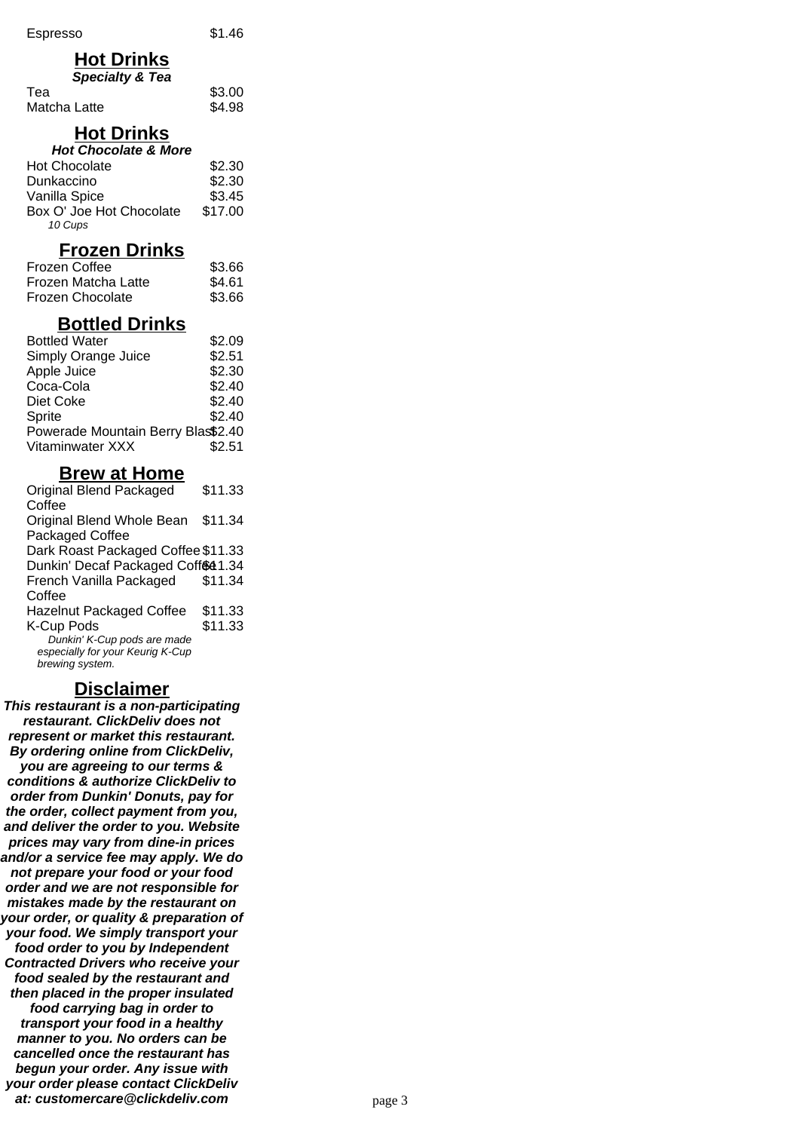### **Hot Drinks**

| <b>Specialty &amp; Tea</b> |        |
|----------------------------|--------|
| Tea                        | \$3.00 |
| Matcha Latte               | \$4.98 |

### **Hot Drinks**

| <b>Hot Chocolate &amp; More</b> |         |  |
|---------------------------------|---------|--|
| Hot Chocolate                   | \$2.30  |  |
| Dunkaccino                      | \$2.30  |  |
| Vanilla Spice                   | \$3.45  |  |
| Box O' Joe Hot Chocolate        | \$17.00 |  |
| 10 Cups                         |         |  |

### **Frozen Drinks**

| Frozen Coffee       | \$3.66 |
|---------------------|--------|
| Frozen Matcha Latte | \$4.61 |
| Frozen Chocolate    | \$3.66 |

# **Bottled Drinks**

| <b>Bottled Water</b>               | \$2.09 |
|------------------------------------|--------|
| Simply Orange Juice                | \$2.51 |
| Apple Juice                        | \$2.30 |
| Coca-Cola                          | \$2.40 |
| Diet Coke                          | \$2.40 |
| Sprite                             | \$2.40 |
| Powerade Mountain Berry Blas\$2.40 |        |
| Vitaminwater XXX                   | \$2.51 |
|                                    |        |

#### **Brew at Home**

| Original Blend Packaged            | \$11.33 |
|------------------------------------|---------|
| Coffee                             |         |
| Original Blend Whole Bean          | \$11.34 |
| Packaged Coffee                    |         |
| Dark Roast Packaged Coffee \$11.33 |         |
| Dunkin' Decaf Packaged Coff®41.34  |         |
| French Vanilla Packaged            | \$11.34 |
| Coffee                             |         |
| <b>Hazelnut Packaged Coffee</b>    | \$11.33 |
| K-Cup Pods                         | \$11.33 |
| Dunkin' K-Cup pods are made        |         |
| especially for your Keurig K-Cup   |         |
| brewing system.                    |         |

### **Disclaimer**

**This restaurant is a non-participating restaurant. ClickDeliv does not represent or market this restaurant. By ordering online from ClickDeliv, you are agreeing to our terms & conditions & authorize ClickDeliv to order from Dunkin' Donuts, pay for the order, collect payment from you, and deliver the order to you. Website prices may vary from dine-in prices and/or a service fee may apply. We do not prepare your food or your food order and we are not responsible for mistakes made by the restaurant on your order, or quality & preparation of your food. We simply transport your food order to you by Independent Contracted Drivers who receive your food sealed by the restaurant and then placed in the proper insulated food carrying bag in order to transport your food in a healthy manner to you. No orders can be cancelled once the restaurant has begun your order. Any issue with your order please contact ClickDeliv at: customercare@clickdeliv.com** page 3